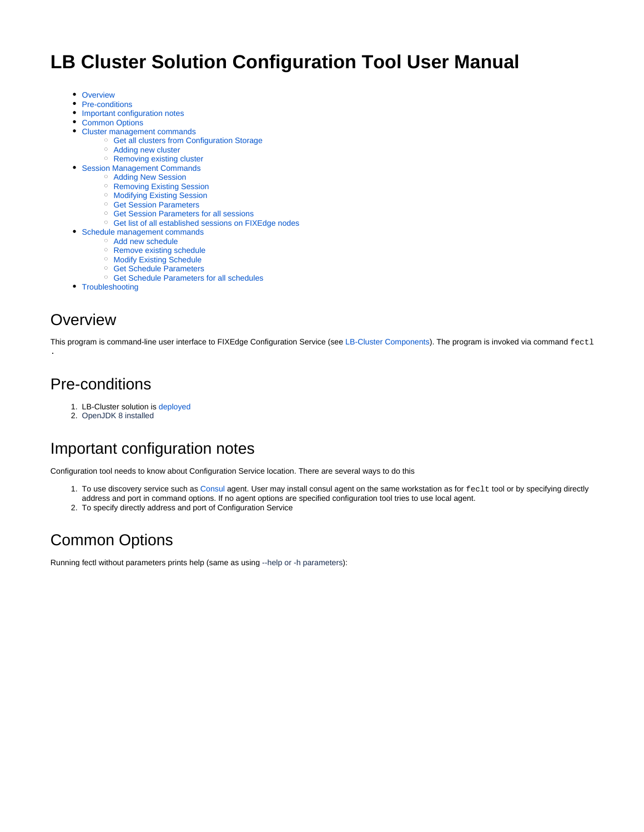# **LB Cluster Solution Configuration Tool User Manual**

- [Overview](#page-0-0)
- [Pre-conditions](#page-0-1)
- [Important configuration notes](#page-0-2)
- [Common Options](#page-0-3)
- [Cluster management commands](#page-1-0)
	- <sup>o</sup> [Get all clusters from Configuration Storage](#page-2-0)
	- <sup>o</sup> [Adding new cluster](#page-2-1)
	- <sup>o</sup> [Removing existing cluster](#page-2-2)
- [Session Management Commands](#page-2-3)
	- [Adding New Session](#page-3-0)
	- <sup>o</sup> [Removing Existing Session](#page-6-0) <sup>o</sup> [Modifying Existing Session](#page-7-0)
	- <sup>o</sup> [Get Session Parameters](#page-8-0)
	- <sup>o</sup> [Get Session Parameters for all sessions](#page-9-0)
	- o [Get list of all established sessions on FIXEdge nodes](#page-9-1)
- [Schedule management commands](#page-10-0)
	- [Add new schedule](#page-10-1)
	- <sup>o</sup> [Remove existing schedule](#page-10-2)
	- <sup>o</sup> [Modify Existing Schedule](#page-11-0)
	- <sup>o</sup> [Get Schedule Parameters](#page-11-1)
	- [Get Schedule Parameters for all schedules](#page-12-0)
- [Troubleshooting](#page-12-1)

# <span id="page-0-0"></span>**Overview**

.

This program is command-line user interface to FIXEdge Configuration Service (see [LB-Cluster Components\)](https://kb.b2bits.com/display/B2BITS/LB+Cluster+Solution+Documentation#LBClusterSolutionDocumentation-LBClusterComponents). The program is invoked via command fectl

# <span id="page-0-1"></span>Pre-conditions

- 1. LB-Cluster solution is [deployed](https://kb.b2bits.com/display/B2BITS/LB+Cluster+Solution+Deployment+User+Manual)
- 2. OpenJDK 8 installed

# <span id="page-0-2"></span>Important configuration notes

Configuration tool needs to know about Configuration Service location. There are several ways to do this

- 1. To use discovery service such a[s Consul](http://consul.io/) agent. User may install consul agent on the same workstation as for feclt tool or by specifying directly address and port in command options. If no agent options are specified configuration tool tries to use local agent.
- 2. To specify directly address and port of Configuration Service

# <span id="page-0-3"></span>Common Options

Running fectl without parameters prints help (same as using --help or -h parameters):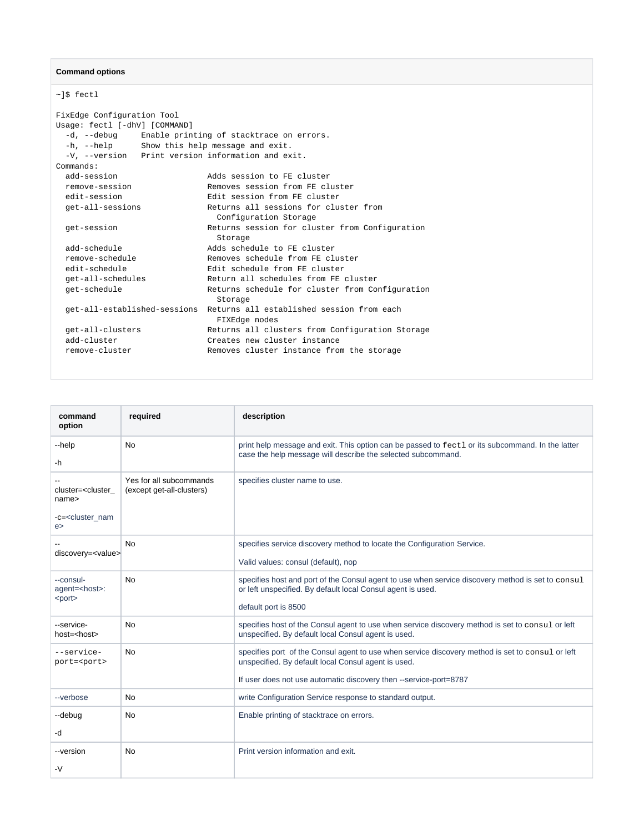### **Command options**

~]\$ fectl

| FixEdge Configuration Tool                           |                                                                        |
|------------------------------------------------------|------------------------------------------------------------------------|
| Usage: fectl [-dhV] [COMMAND]                        |                                                                        |
| -d, --debug Enable printing of stacktrace on errors. |                                                                        |
| -h, --help Show this help message and exit.          |                                                                        |
| -V, --version Print version information and exit.    |                                                                        |
| Commands:                                            |                                                                        |
| add-session                                          | Adds session to FE cluster                                             |
| remove-session                                       | Removes session from FE cluster                                        |
| edit-session                                         | Edit session from FE cluster                                           |
| qet-all-sessions                                     | Returns all sessions for cluster from                                  |
|                                                      | Configuration Storage                                                  |
| get-session                                          | Returns session for cluster from Configuration                         |
|                                                      | Storage                                                                |
| add-schedule                                         | Adds schedule to FE cluster                                            |
| remove-schedule                                      | Removes schedule from FE cluster                                       |
| edit-schedule                                        | Edit schedule from FE cluster                                          |
| qet-all-schedules                                    | Return all schedules from FE cluster                                   |
| qet-schedule                                         | Returns schedule for cluster from Configuration                        |
|                                                      | Storage                                                                |
|                                                      | get-all-established-sessions Returns all established session from each |
|                                                      | FIXEdge nodes                                                          |
| qet-all-clusters                                     | Returns all clusters from Configuration Storage                        |
| add-cluster                                          | Creates new cluster instance                                           |
| remove-cluster                                       | Removes cluster instance from the storage                              |
|                                                      |                                                                        |

<span id="page-1-0"></span>

| command<br>option                                                                | required                                             | description                                                                                                                                                                                                                  |
|----------------------------------------------------------------------------------|------------------------------------------------------|------------------------------------------------------------------------------------------------------------------------------------------------------------------------------------------------------------------------------|
| --help<br>-h                                                                     | No                                                   | print help message and exit. This option can be passed to fect1 or its subcommand. In the latter<br>case the help message will describe the selected subcommand.                                                             |
| cluster= <cluster<br>name&gt;<br/>-c=<cluster nam<br="">e</cluster></cluster<br> | Yes for all subcommands<br>(except get-all-clusters) | specifies cluster name to use.                                                                                                                                                                                               |
| discovery= <value></value>                                                       | No                                                   | specifies service discovery method to locate the Configuration Service.<br>Valid values: consul (default), nop                                                                                                               |
| --consul-<br>agent= <host>:<br/><port></port></host>                             | <b>No</b>                                            | specifies host and port of the Consul agent to use when service discovery method is set to consul<br>or left unspecified. By default local Consul agent is used.<br>default port is 8500                                     |
| --service-<br>$host = <$ host $>$                                                | No                                                   | specifies host of the Consul agent to use when service discovery method is set to consul or left<br>unspecified. By default local Consul agent is used.                                                                      |
| --service-<br>port= <port></port>                                                | No                                                   | specifies port of the Consul agent to use when service discovery method is set to consul or left<br>unspecified. By default local Consul agent is used.<br>If user does not use automatic discovery then --service-port=8787 |
| --verbose                                                                        | No                                                   | write Configuration Service response to standard output.                                                                                                                                                                     |
| --debug<br>-d                                                                    | No                                                   | Enable printing of stacktrace on errors.                                                                                                                                                                                     |
| --version<br>$-V$                                                                | No                                                   | Print version information and exit.                                                                                                                                                                                          |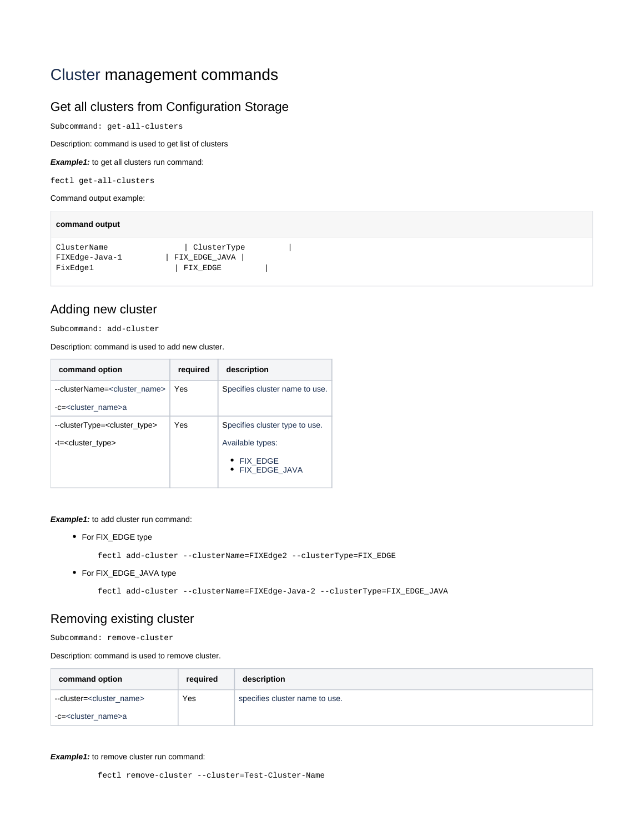# Cluster management commands

# <span id="page-2-0"></span>Get all clusters from Configuration Storage

Subcommand: get-all-clusters

Description: command is used to get list of clusters

**Example1:** to get all clusters run command:

fectl get-all-clusters

Command output example:

| command output                            |                                          |  |  |  |  |  |
|-------------------------------------------|------------------------------------------|--|--|--|--|--|
| ClusterName<br>FIXEdge-Java-1<br>FixEdge1 | ClusterType<br>FIX_EDGE_JAVA<br>FIX_EDGE |  |  |  |  |  |

## <span id="page-2-1"></span>Adding new cluster

Subcommand: add-cluster

Description: command is used to add new cluster.

| command option                             | required | description                    |
|--------------------------------------------|----------|--------------------------------|
| --clusterName= <cluster name=""></cluster> | Yes      | Specifies cluster name to use. |
| -c= <cluster_name>a</cluster_name>         |          |                                |
| --clusterType= <cluster type=""></cluster> | Yes      | Specifies cluster type to use. |
| -t= <cluster_type></cluster_type>          |          | Available types:               |
|                                            |          | • FIX EDGE<br>• FIX EDGE JAVA  |

**Example1:** to add cluster run command:

For FIX\_EDGE type

fectl add-cluster --clusterName=FIXEdge2 --clusterType=FIX\_EDGE

• For FIX\_EDGE\_JAVA type

fectl add-cluster --clusterName=FIXEdge-Java-2 --clusterType=FIX\_EDGE\_JAVA

### <span id="page-2-2"></span>Removing existing cluster

Subcommand: remove-cluster

Description: command is used to remove cluster.

| command option                         | required | description                    |
|----------------------------------------|----------|--------------------------------|
| --cluster= <cluster name=""></cluster> | Yes      | specifies cluster name to use. |
| -c= <cluster_name>a</cluster_name>     |          |                                |

#### <span id="page-2-3"></span>**Example1:** to remove cluster run command:

fectl remove-cluster --cluster=Test-Cluster-Name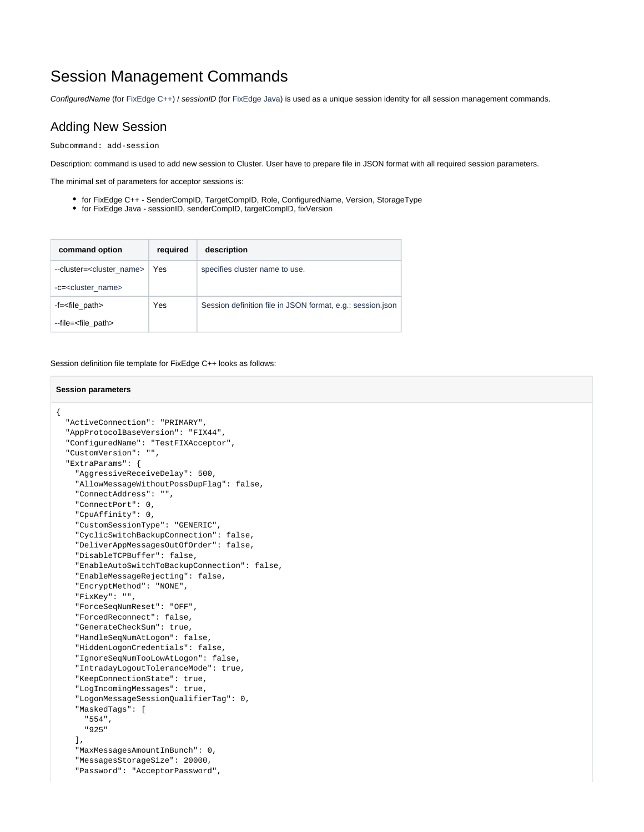# Session Management Commands

ConfiguredName (for FixEdge C++) / sessionID (for FixEdge Java) is used as a unique session identity for all session management commands.

### <span id="page-3-0"></span>Adding New Session

Subcommand: add-session

Description: command is used to add new session to Cluster. User have to prepare file in JSON format with all required session parameters.

The minimal set of parameters for acceptor sessions is:

- for FixEdge C++ SenderCompID, TargetCompID, Role, ConfiguredName, Version, StorageType
- for FixEdge Java sessionID, senderCompID, targetCompID, fixVersion

| command option                                                              | required | description                                                |
|-----------------------------------------------------------------------------|----------|------------------------------------------------------------|
| --cluster= <cluster name=""><br/>-c=<cluster_name></cluster_name></cluster> | Yes      | specifies cluster name to use.                             |
| -f= <file_path><br/>--file=<file_path></file_path></file_path>              | Yes      | Session definition file in JSON format, e.g.: session.json |

#### Session definition file template for FixEdge C++ looks as follows:

### **Session parameters**

```
{
  "ActiveConnection": "PRIMARY",
  "AppProtocolBaseVersion": "FIX44",
   "ConfiguredName": "TestFIXAcceptor",
   "CustomVersion": "",
   "ExtraParams": {
     "AggressiveReceiveDelay": 500,
     "AllowMessageWithoutPossDupFlag": false,
     "ConnectAddress": "",
     "ConnectPort": 0,
     "CpuAffinity": 0,
     "CustomSessionType": "GENERIC",
     "CyclicSwitchBackupConnection": false,
     "DeliverAppMessagesOutOfOrder": false,
     "DisableTCPBuffer": false,
     "EnableAutoSwitchToBackupConnection": false,
     "EnableMessageRejecting": false,
     "EncryptMethod": "NONE",
     "FixKey": "",
     "ForceSeqNumReset": "OFF",
     "ForcedReconnect": false,
     "GenerateCheckSum": true,
     "HandleSeqNumAtLogon": false,
     "HiddenLogonCredentials": false,
     "IgnoreSeqNumTooLowAtLogon": false,
     "IntradayLogoutToleranceMode": true,
     "KeepConnectionState": true,
     "LogIncomingMessages": true,
     "LogonMessageSessionQualifierTag": 0,
     "MaskedTags": [
      "554",
       "925"
     ],
     "MaxMessagesAmountInBunch": 0,
     "MessagesStorageSize": 20000,
     "Password": "AcceptorPassword",
```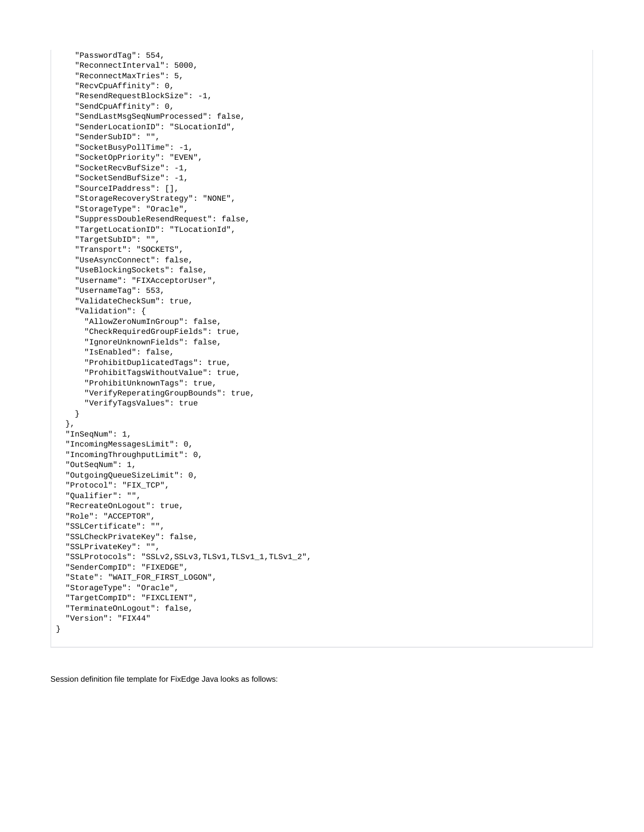```
 "PasswordTag": 554,
     "ReconnectInterval": 5000,
     "ReconnectMaxTries": 5,
     "RecvCpuAffinity": 0,
     "ResendRequestBlockSize": -1,
     "SendCpuAffinity": 0,
     "SendLastMsgSeqNumProcessed": false,
     "SenderLocationID": "SLocationId",
     "SenderSubID": "",
     "SocketBusyPollTime": -1,
     "SocketOpPriority": "EVEN",
     "SocketRecvBufSize": -1,
     "SocketSendBufSize": -1,
     "SourceIPaddress": [],
     "StorageRecoveryStrategy": "NONE",
     "StorageType": "Oracle",
     "SuppressDoubleResendRequest": false,
     "TargetLocationID": "TLocationId",
     "TargetSubID": "",
     "Transport": "SOCKETS",
     "UseAsyncConnect": false,
     "UseBlockingSockets": false,
     "Username": "FIXAcceptorUser",
     "UsernameTag": 553,
     "ValidateCheckSum": true,
     "Validation": {
      "AllowZeroNumInGroup": false,
       "CheckRequiredGroupFields": true,
       "IgnoreUnknownFields": false,
       "IsEnabled": false,
       "ProhibitDuplicatedTags": true,
       "ProhibitTagsWithoutValue": true,
       "ProhibitUnknownTags": true,
       "VerifyReperatingGroupBounds": true,
       "VerifyTagsValues": true
    }
  },
  "InSeqNum": 1,
  "IncomingMessagesLimit": 0,
   "IncomingThroughputLimit": 0,
  "OutSeqNum": 1,
  "OutgoingQueueSizeLimit": 0,
  "Protocol": "FIX_TCP",
  "Qualifier": "",
  "RecreateOnLogout": true,
   "Role": "ACCEPTOR",
   "SSLCertificate": "",
  "SSLCheckPrivateKey": false,
  "SSLPrivateKey": "",
  "SSLProtocols": "SSLv2,SSLv3,TLSv1,TLSv1_1,TLSv1_2",
  "SenderCompID": "FIXEDGE",
  "State": "WAIT_FOR_FIRST_LOGON",
   "StorageType": "Oracle",
  "TargetCompID": "FIXCLIENT",
  "TerminateOnLogout": false,
  "Version": "FIX44"
}
```
Session definition file template for FixEdge Java looks as follows: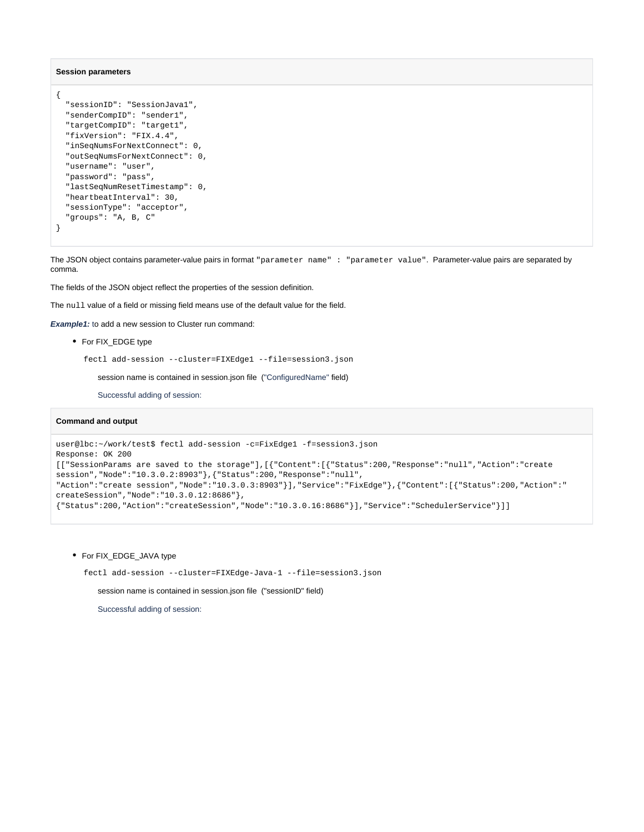#### **Session parameters**

```
{
  "sessionID": "SessionJava1",
   "senderCompID": "sender1",
  "targetCompID": "target1",
  "fixVersion": "FIX.4.4",
  "inSeqNumsForNextConnect": 0,
  "outSeqNumsForNextConnect": 0,
   "username": "user",
   "password": "pass",
  "lastSeqNumResetTimestamp": 0,
  "heartbeatInterval": 30,
  "sessionType": "acceptor",
  "groups": "A, B, C"
}
```
The JSON object contains parameter-value pairs in format "parameter name" : "parameter value". Parameter-value pairs are separated by comma.

The fields of the JSON object reflect the properties of the session definition.

The null value of a field or missing field means use of the default value for the field.

**Example1:** to add a new session to Cluster run command:

For FIX\_EDGE type

fectl add-session --cluster=FIXEdge1 --file=session3.json

session name is contained in session.json file ("ConfiguredName" field)

Successful adding of session:

#### **Command and output**

```
user@lbc:~/work/test$ fectl add-session -c=FixEdge1 -f=session3.json
Response: OK 200
[["SessionParams are saved to the storage"],[{"Content":[{"Status":200,"Response":"null","Action":"create 
session","Node":"10.3.0.2:8903"},{"Status":200,"Response":"null",
"Action":"create session","Node":"10.3.0.3:8903"}],"Service":"FixEdge"},{"Content":[{"Status":200,"Action":"
createSession","Node":"10.3.0.12:8686"},
{"Status":200,"Action":"createSession","Node":"10.3.0.16:8686"}],"Service":"SchedulerService"}]]
```
• For FIX\_EDGE\_JAVA type

fectl add-session --cluster=FIXEdge-Java-1 --file=session3.json

session name is contained in session.json file ("sessionID" field)

Successful adding of session: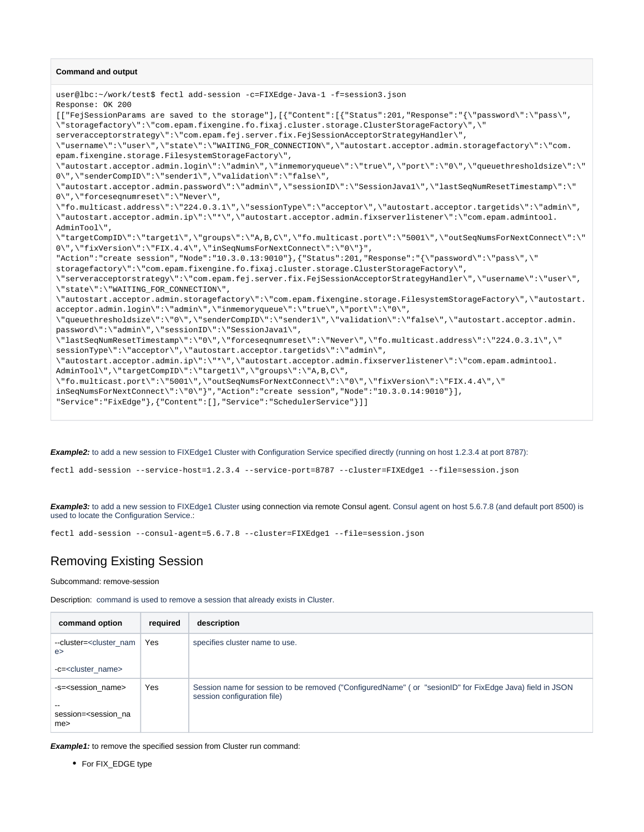#### **Command and output**

user@lbc:~/work/test\$ fectl add-session -c=FIXEdge-Java-1 -f=session3.json Response: OK 200 [["FejSessionParams are saved to the storage"],[{"Content":[{"Status":201,"Response":"{\"password\":\"pass\", \"storagefactory\":\"com.epam.fixengine.fo.fixaj.cluster.storage.ClusterStorageFactory\",\" serveracceptorstrategy\":\"com.epam.fej.server.fix.FejSessionAcceptorStrategyHandler\", \"username\":\"user\",\"state\":\"WAITING\_FOR\_CONNECTION\",\"autostart.acceptor.admin.storagefactory\":\"com. epam.fixengine.storage.FilesystemStorageFactory\", \"autostart.acceptor.admin.login\":\"admin\",\"inmemoryqueue\":\"true\",\"port\":\"0\",\"queuethresholdsize\":\" 0\",\"senderCompID\":\"sender1\",\"validation\":\"false\", \"autostart.acceptor.admin.password\":\"admin\",\"sessionID\":\"SessionJava1\",\"lastSeqNumResetTimestamp\":\" 0\",\"forceseqnumreset\":\"Never\", \"fo.multicast.address\":\"224.0.3.1\",\"sessionType\":\"acceptor\",\"autostart.acceptor.targetids\":\"admin\", \"autostart.acceptor.admin.ip\":\"\*\",\"autostart.acceptor.admin.fixserverlistener\":\"com.epam.admintool. AdminTool\", \"targetCompID\":\"target1\",\"groups\":\"A,B,C\",\"fo.multicast.port\":\"5001\",\"outSeqNumsForNextConnect\":\" 0\",\"fixVersion\":\"FIX.4.4\",\"inSeqNumsForNextConnect\":\"0\"}", "Action":"create session","Node":"10.3.0.13:9010"},{"Status":201,"Response":"{\"password\":\"pass\",\" storagefactory\":\"com.epam.fixengine.fo.fixaj.cluster.storage.ClusterStorageFactory\", \"serveracceptorstrategy\":\"com.epam.fej.server.fix.FejSessionAcceptorStrategyHandler\",\"username\":\"user\", \"state\":\"WAITING\_FOR\_CONNECTION\", \"autostart.acceptor.admin.storagefactory\":\"com.epam.fixengine.storage.FilesystemStorageFactory\",\"autostart. acceptor.admin.login\":\"admin\",\"inmemoryqueue\":\"true\",\"port\":\"0\", \"queuethresholdsize\":\"0\",\"senderCompID\":\"sender1\",\"validation\":\"false\",\"autostart.acceptor.admin. password\":\"admin\",\"sessionID\":\"SessionJava1\", \"lastSeqNumResetTimestamp\":\"0\",\"forceseqnumreset\":\"Never\",\"fo.multicast.address\":\"224.0.3.1\",\" sessionType\":\"acceptor\",\"autostart.acceptor.targetids\":\"admin\", \"autostart.acceptor.admin.ip\":\"\*\",\"autostart.acceptor.admin.fixserverlistener\":\"com.epam.admintool. AdminTool\",\"targetCompID\":\"target1\",\"groups\":\"A,B,C\", \"fo.multicast.port\":\"5001\",\"outSeqNumsForNextConnect\":\"0\",\"fixVersion\":\"FIX.4.4\",\" inSeqNumsForNextConnect\":\"0\"}","Action":"create session","Node":"10.3.0.14:9010"}], "Service":"FixEdge"},{"Content":[],"Service":"SchedulerService"}]]

**Example2:** to add a new session to FIXEdge1 Cluster with Configuration Service specified directly (running on host 1.2.3.4 at port 8787):

fectl add-session --service-host=1.2.3.4 --service-port=8787 --cluster=FIXEdge1 --file=session.json

**Example3:** to add a new session to FIXEdge1 Cluster using connection via remote Consul agent. Consul agent on host 5.6.7.8 (and default port 8500) is used to locate the Configuration Service.:

fectl add-session --consul-agent=5.6.7.8 --cluster=FIXEdge1 --file=session.json

# <span id="page-6-0"></span>Removing Existing Session

Subcommand: remove-session

Description: command is used to remove a session that already exists in Cluster.

| command option                                                                 | required | description                                                                                                                            |
|--------------------------------------------------------------------------------|----------|----------------------------------------------------------------------------------------------------------------------------------------|
| --cluster= <cluster nam<br="">e<br/>-c=<cluster name=""></cluster></cluster>   | Yes      | specifies cluster name to use.                                                                                                         |
| -s= <session name=""><br/>session=<session na<br="">me&gt;</session></session> | Yes      | Session name for session to be removed ("ConfiguredName" (or "sesionID" for FixEdge Java) field in JSON<br>session configuration file) |

**Example1:** to remove the specified session from Cluster run command:

• For FIX\_EDGE type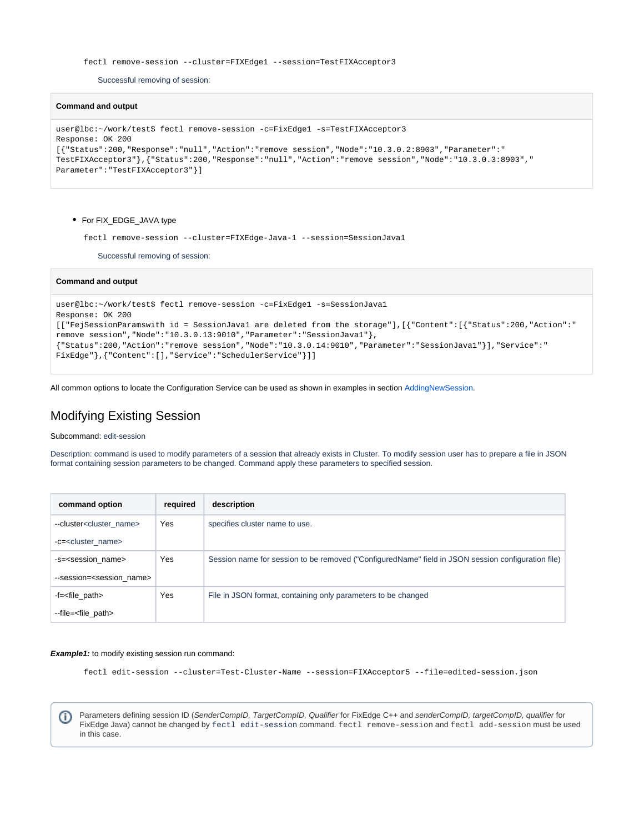```
 fectl remove-session --cluster=FIXEdge1 --session=TestFIXAcceptor3
```
Successful removing of session:

#### **Command and output**

```
user@lbc:~/work/test$ fectl remove-session -c=FixEdge1 -s=TestFIXAcceptor3
Response: OK 200
[{"Status":200,"Response":"null","Action":"remove session","Node":"10.3.0.2:8903","Parameter":"
TestFIXAcceptor3"},{"Status":200,"Response":"null","Action":"remove session","Node":"10.3.0.3:8903","
Parameter":"TestFIXAcceptor3"}]
```
#### • For FIX\_EDGE\_JAVA type

fectl remove-session --cluster=FIXEdge-Java-1 --session=SessionJava1

Successful removing of session:

#### **Command and output**

```
user@lbc:~/work/test$ fectl remove-session -c=FixEdge1 -s=SessionJava1
Response: OK 200
[["FejSessionParamswith id = SessionJava1 are deleted from the storage"],[{"Content":[{"Status":200,"Action":"
remove session","Node":"10.3.0.13:9010","Parameter":"SessionJava1"},
{"Status":200,"Action":"remove session","Node":"10.3.0.14:9010","Parameter":"SessionJava1"}],"Service":"
FixEdge"},{"Content":[],"Service":"SchedulerService"}]]
```
All common options to locate the Configuration Service can be used as shown in examples in section [AddingNewSession.](https://kb.epam.com/display/EPMBFIXA/LB+Cluster+Configuration+Tool+User+Manual#LBClusterConfigurationToolUserManual-AddingNewSession)

# <span id="page-7-0"></span>Modifying Existing Session

Subcommand: edit-session

Description: command is used to modify parameters of a session that already exists in Cluster. To modify session user has to prepare a file in JSON format containing session parameters to be changed. Command apply these parameters to specified session.

| command option                          | required | description                                                                                        |
|-----------------------------------------|----------|----------------------------------------------------------------------------------------------------|
| --cluster <cluster_name></cluster_name> | Yes      | specifies cluster name to use.                                                                     |
| -c= <cluster name=""></cluster>         |          |                                                                                                    |
| -s= <session name=""></session>         | Yes      | Session name for session to be removed ("ConfiguredName" field in JSON session configuration file) |
| --session= <session name=""></session>  |          |                                                                                                    |
| -f= <file_path></file_path>             | Yes      | File in JSON format, containing only parameters to be changed                                      |
| --file= <file_path></file_path>         |          |                                                                                                    |

#### **Example1:** to modify existing session run command:

fectl edit-session --cluster=Test-Cluster-Name --session=FIXAcceptor5 --file=edited-session.json

Parameters defining session ID (SenderCompID, TargetCompID, Qualifier for FixEdge C++ and senderCompID, targetCompID, qualifier for (i) FixEdge Java) cannot be changed by fectl edit-session command. fectl remove-session and fectl add-session must be used in this case.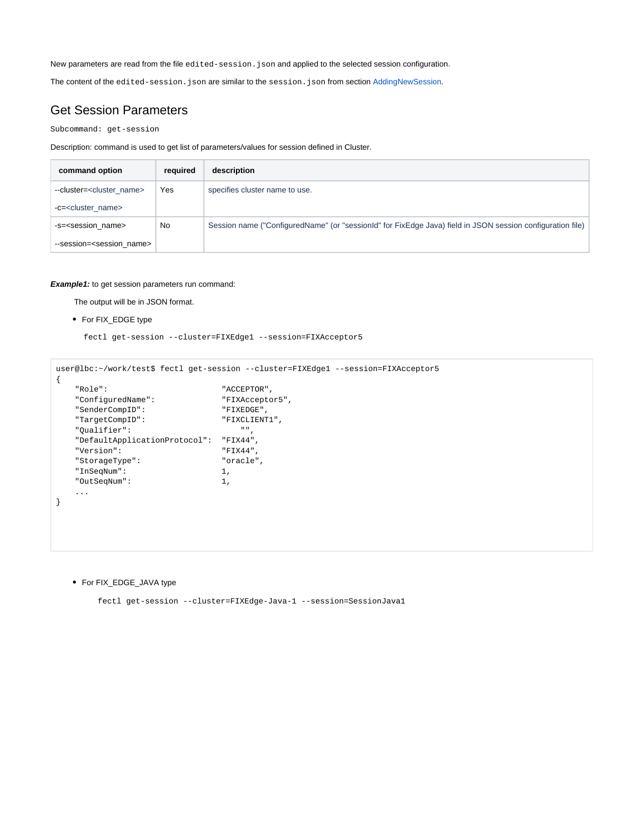New parameters are read from the file edited-session.json and applied to the selected session configuration.

The content of the edited-session.json are similar to the session.json from section [AddingNewSession.](https://kb.epam.com/display/EPMBFIXA/LB+Cluster+Configuration+Tool+User+Manual#LBClusterConfigurationToolUserManual-AddingNewSession)

## <span id="page-8-0"></span>Get Session Parameters

Subcommand: get-session

Description: command is used to get list of parameters/values for session defined in Cluster.

| command option                         | required | description                                                                                                |
|----------------------------------------|----------|------------------------------------------------------------------------------------------------------------|
| --cluster= <cluster name=""></cluster> | Yes      | specifies cluster name to use.                                                                             |
| -c= <cluster name=""></cluster>        |          |                                                                                                            |
| -s= <session name=""></session>        | No       | Session name ("ConfiguredName" (or "sessionId" for FixEdge Java) field in JSON session configuration file) |
| --session= <session name=""></session> |          |                                                                                                            |

#### **Example1:** to get session parameters run command:

The output will be in JSON format.

For FIX\_EDGE type

fectl get-session --cluster=FIXEdge1 --session=FIXAcceptor5

```
user@lbc:~/work/test$ fectl get-session --cluster=FIXEdge1 --session=FIXAcceptor5 
{
 "Role": "ACCEPTOR",
 "ConfiguredName": "FIXAcceptor5",
 "SenderCompID": "FIXEDGE",
   "TargetCompID": "FIXCLIENT1",
   "Qualifier": "",
   "DefaultApplicationProtocol": "FIX44",
   "Version": "FIX44",
   "StorageType": "oracle",
   "InSeqNum": 1,
   "OutSeqNum": 1,
    ...
}
```
For FIX\_EDGE\_JAVA type

fectl get-session --cluster=FIXEdge-Java-1 --session=SessionJava1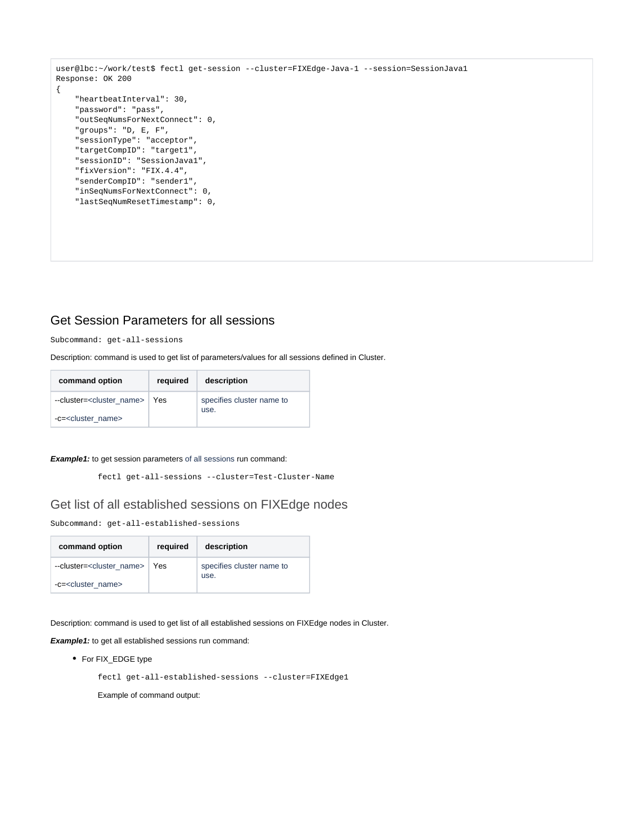```
user@lbc:~/work/test$ fectl get-session --cluster=FIXEdge-Java-1 --session=SessionJava1 
Response: OK 200
{
     "heartbeatInterval": 30,
     "password": "pass",
     "outSeqNumsForNextConnect": 0,
     "groups": "D, E, F",
     "sessionType": "acceptor",
     "targetCompID": "target1",
     "sessionID": "SessionJava1",
     "fixVersion": "FIX.4.4",
     "senderCompID": "sender1",
     "inSeqNumsForNextConnect": 0,
     "lastSeqNumResetTimestamp": 0,
```
## <span id="page-9-0"></span>Get Session Parameters for all sessions

Subcommand: get-all-sessions

Description: command is used to get list of parameters/values for all sessions defined in Cluster.

| command option                                 | required | description                       |
|------------------------------------------------|----------|-----------------------------------|
| --cluster= <cluster_name>   Yes</cluster_name> |          | specifies cluster name to<br>use. |
| -c= <cluster name=""></cluster>                |          |                                   |

#### **Example1:** to get session parameters of all sessions run command:

fectl get-all-sessions --cluster=Test-Cluster-Name

### <span id="page-9-1"></span>Get list of all established sessions on FIXEdge nodes

Subcommand: get-all-established-sessions

| command option                             | required | description                       |
|--------------------------------------------|----------|-----------------------------------|
| --cluster= <cluster name=""> Yes</cluster> |          | specifies cluster name to<br>use. |
| -c= <cluster name=""></cluster>            |          |                                   |

Description: command is used to get list of all established sessions on FIXEdge nodes in Cluster.

**Example1:** to get all established sessions run command:

• For FIX\_EDGE type

fectl get-all-established-sessions --cluster=FIXEdge1

Example of command output: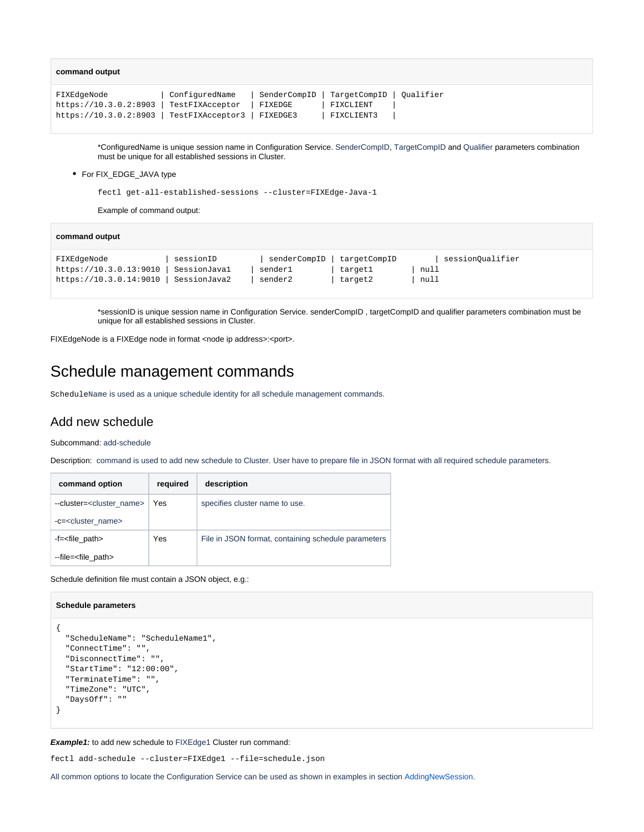| command output                                                                                                |                |         |                                                                  |  |
|---------------------------------------------------------------------------------------------------------------|----------------|---------|------------------------------------------------------------------|--|
| FIXEdgeNode<br>https://10.3.0.2:8903   TestFIXAcceptor<br>https://10.3.0.2:8903   TestFIXAcceptor3   FIXEDGE3 | ConfiguredName | FIXEDGE | SenderCompID TargetCompID   Oualifier<br>FIXCLIENT<br>FIXCLIENT3 |  |

\*ConfiguredName is unique session name in Configuration Service. SenderCompID, TargetCompID and Qualifier parameters combination must be unique for all established sessions in Cluster.

#### • For FIX\_EDGE\_JAVA type

fectl get-all-established-sessions --cluster=FIXEdge-Java-1

Example of command output:

| command output         |              |              |              |                  |
|------------------------|--------------|--------------|--------------|------------------|
| FIXEdgeNode            | sessionID    | senderCompID | targetCompID | sessionOualifier |
| https://10.3.0.13:9010 | SessionJaval | sender1      | targetl      | null             |
| https://10.3.0.14:9010 | SessionJava2 | sender2      | target2      | null             |

\*sessionID is unique session name in Configuration Service. senderCompID , targetCompID and qualifier parameters combination must be unique for all established sessions in Cluster.

FIXEdgeNode is a FIXEdge node in format <node ip address>:<port>.

# <span id="page-10-0"></span>Schedule management commands

ScheduleName is used as a unique schedule identity for all schedule management commands.

### <span id="page-10-1"></span>Add new schedule

Subcommand: add-schedule

Description: command is used to add new schedule to Cluster. User have to prepare file in JSON format with all required schedule parameters.

| command option                         | required | description                                         |
|----------------------------------------|----------|-----------------------------------------------------|
| --cluster= <cluster name=""></cluster> | Yes      | specifies cluster name to use.                      |
| -c= <cluster name=""></cluster>        |          |                                                     |
| -f= <file_path></file_path>            | Yes      | File in JSON format, containing schedule parameters |
| --file= <file_path></file_path>        |          |                                                     |

Schedule definition file must contain a JSON object, e.g.:

#### **Schedule parameters**

```
{
   "ScheduleName": "ScheduleName1",
   "ConnectTime": "",
  "DisconnectTime": "",
  "StartTime": "12:00:00",
  "TerminateTime": "",
  "TimeZone": "UTC",
   "DaysOff": ""
}
```
**Example1:** to add new schedule to FIXEdge1 Cluster run command:

fectl add-schedule --cluster=FIXEdge1 --file=schedule.json

<span id="page-10-2"></span>All common options to locate the Configuration Service can be used as shown in examples in section [AddingNewSession.](https://kb.epam.com/display/EPMBFIXA/LB+Cluster+Configuration+Tool+User+Manual#LBClusterConfigurationToolUserManual-AddingNewSession)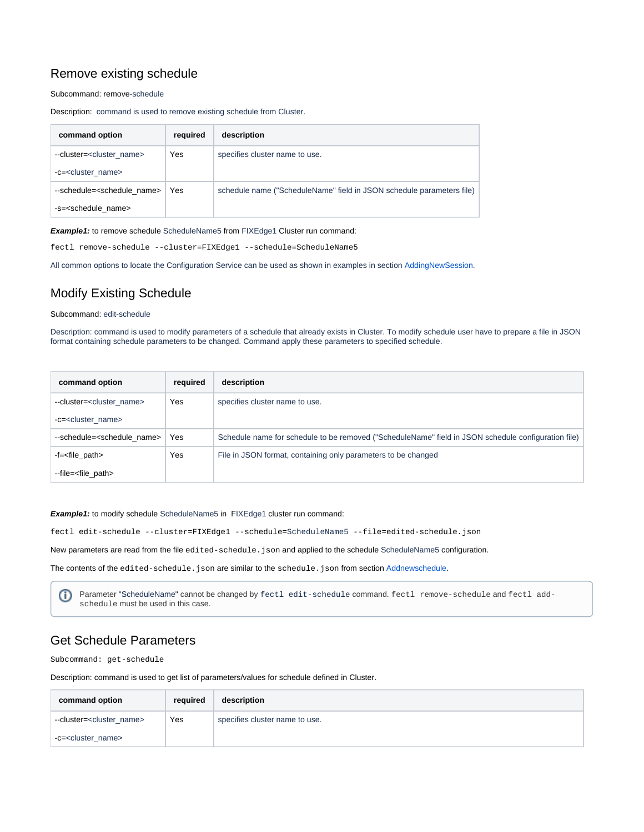# Remove existing schedule

Subcommand: remove-schedule

Description: command is used to remove existing schedule from Cluster.

| command option                            | required | description                                                           |
|-------------------------------------------|----------|-----------------------------------------------------------------------|
| --cluster= <cluster name=""></cluster>    | Yes      | specifies cluster name to use.                                        |
| -c= <cluster name=""></cluster>           |          |                                                                       |
| --schedule= <schedule name=""></schedule> | Yes      | schedule name ("ScheduleName" field in JSON schedule parameters file) |
| -s= <schedule name=""></schedule>         |          |                                                                       |

**Example1:** to remove schedule ScheduleName5 from FIXEdge1 Cluster run command:

fectl remove-schedule --cluster=FIXEdge1 --schedule=ScheduleName5

All common options to locate the Configuration Service can be used as shown in examples in section [AddingNewSession.](https://kb.epam.com/display/EPMBFIXA/LB+Cluster+Configuration+Tool+User+Manual#LBClusterConfigurationToolUserManual-AddingNewSession)

# <span id="page-11-0"></span>Modify Existing Schedule

#### Subcommand: edit-schedule

Description: command is used to modify parameters of a schedule that already exists in Cluster. To modify schedule user have to prepare a file in JSON format containing schedule parameters to be changed. Command apply these parameters to specified schedule.

| command option                            | required | description                                                                                         |
|-------------------------------------------|----------|-----------------------------------------------------------------------------------------------------|
| --cluster= <cluster name=""></cluster>    | Yes      | specifies cluster name to use.                                                                      |
| -c= <cluster name=""></cluster>           |          |                                                                                                     |
| --schedule= <schedule name=""></schedule> | Yes      | Schedule name for schedule to be removed ("ScheduleName" field in JSON schedule configuration file) |
| -f= <file_path></file_path>               | Yes      | File in JSON format, containing only parameters to be changed                                       |
| --file= <file_path></file_path>           |          |                                                                                                     |

#### **Example1:** to modify schedule ScheduleName5 in FIXEdge1 cluster run command:

fectl edit-schedule --cluster=FIXEdge1 --schedule=ScheduleName5 --file=edited-schedule.json

New parameters are read from the file edited-schedule. json and applied to the schedule ScheduleName5 configuration.

The contents of the edited-schedule. json are similar to the schedule. json from section [Addnewschedule.](https://kb.epam.com/display/EPMBFIXA/LB+Cluster+Configuration+Tool+User+Manual#LBClusterConfigurationToolUserManual-Addnewschedule)

Parameter "ScheduleName" cannot be changed by fectl edit-schedule command. fectl remove-schedule and fectl add-O) schedule must be used in this case.

## <span id="page-11-1"></span>Get Schedule Parameters

Subcommand: get-schedule

Description: command is used to get list of parameters/values for schedule defined in Cluster.

| command option                         | required | description                    |
|----------------------------------------|----------|--------------------------------|
| --cluster= <cluster name=""></cluster> | Yes      | specifies cluster name to use. |
| -c= <cluster name=""></cluster>        |          |                                |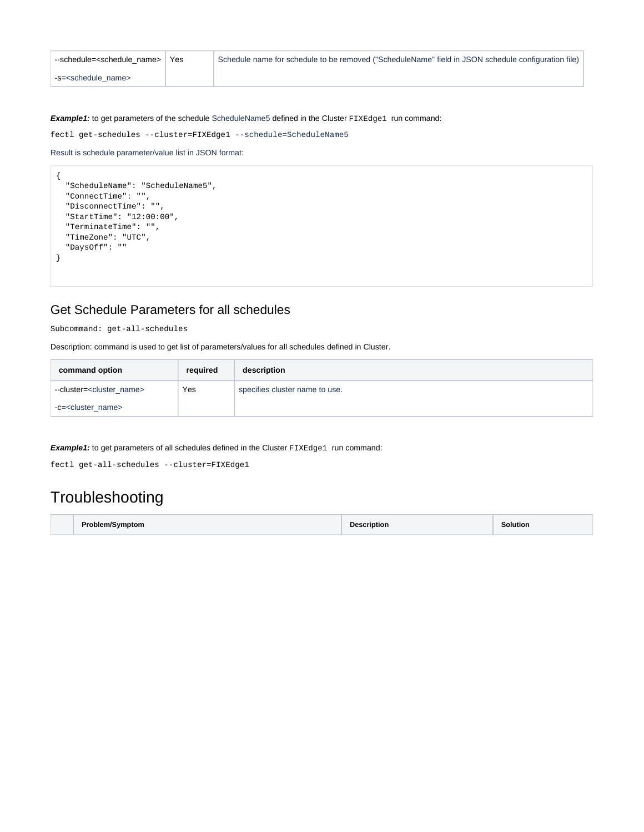| --schedule= <schedule name=""></schedule> | <b>Yes</b> | Schedule name for schedule to be removed ("ScheduleName" field in JSON schedule configuration file) |
|-------------------------------------------|------------|-----------------------------------------------------------------------------------------------------|
| -s= <schedule name=""></schedule>         |            |                                                                                                     |

**Example1:** to get parameters of the schedule ScheduleName5 defined in the Cluster FIXEdge1 run command:

fectl get-schedules --cluster=FIXEdge1 --schedule=ScheduleName5

```
Result is schedule parameter/value list in JSON format:
```

```
{
   "ScheduleName": "ScheduleName5",
  "ConnectTime": "",
  "DisconnectTime": "",
  "StartTime": "12:00:00",
  "TerminateTime": "",
  "TimeZone": "UTC",
  "DaysOff": ""
}
```
## <span id="page-12-0"></span>Get Schedule Parameters for all schedules

Subcommand: get-all-schedules

Description: command is used to get list of parameters/values for all schedules defined in Cluster.

| command option                         | required | description                    |
|----------------------------------------|----------|--------------------------------|
| --cluster= <cluster name=""></cluster> | Yes      | specifies cluster name to use. |
| -c= <cluster_name></cluster_name>      |          |                                |

**Example1:** to get parameters of all schedules defined in the Cluster FIXEdge1 run command:

fectl get-all-schedules --cluster=FIXEdge1

# <span id="page-12-1"></span>**Troubleshooting**

| <b>Problem/Symptom</b> | <b>Description</b> | <b>Solution</b> |
|------------------------|--------------------|-----------------|
|------------------------|--------------------|-----------------|